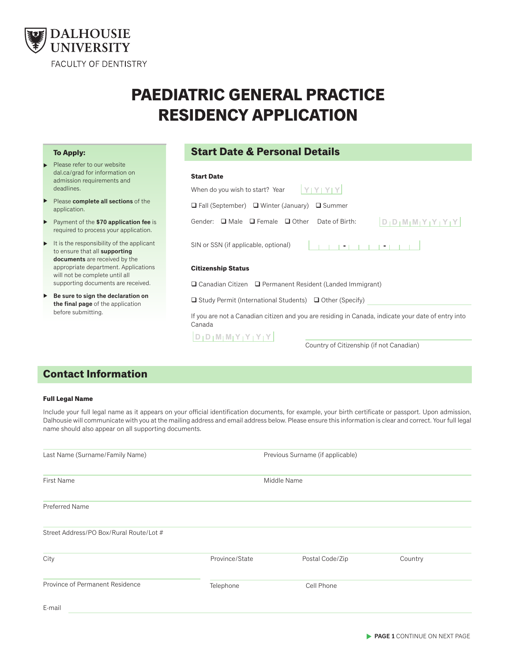

# **PAEDIATRIC GENERAL PRACTICE RESIDENCY APPLICATION**

#### **To Apply:**

- Please refer to our website dal.ca/grad for information on admission requirements and deadlines. ▲
- Please **complete all sections** of the application. ▲
- Payment of the **\$70 application fee** is required to process your application. ▲
- It is the responsibility of the applicant to ensure that all **supporting documents** are received by the appropriate department. Applications will not be complete until all supporting documents are received. ▲
- **Be sure to sign the declaration on**  ▲ **the final page** of the application before submitting.

# **Start Date & Personal Details**

# **Start Date**

| When do you wish to start? Year                                                                              |
|--------------------------------------------------------------------------------------------------------------|
| $\Box$ Fall (September) $\Box$ Winter (January) $\Box$ Summer                                                |
| $D_1D_1M_1M_1Y_1Y_1Y_1Y$<br>$\Box$ Male $\Box$ Female $\Box$ Other<br>Date of Birth:<br>Gender:              |
| $1 - 1 = 1 - 1 = 1 - 1 = 1$<br>SIN or SSN (if applicable, optional)                                          |
| <b>Citizenship Status</b>                                                                                    |
| $\Box$ Canadian Citizen $\Box$ Permanent Resident (Landed Immigrant)                                         |
| $\Box$ Study Permit (International Students) $\Box$ Other (Specify)                                          |
| If you are not a Canadian citizen and you are residing in Canada, indicate your date of entry into<br>Canada |
| $D   D   M   M   Y   Y   Y   Y$                                                                              |

Country of Citizenship (if not Canadian)

# **Contact Information**

#### **Full Legal Name**

Include your full legal name as it appears on your official identification documents, for example, your birth certificate or passport. Upon admission, Dalhousie will communicate with you at the mailing address and email address below. Please ensure this information is clear and correct. Your full legal name should also appear on all supporting documents.

| Last Name (Surname/Family Name)         |                | Previous Surname (if applicable) |         |  |
|-----------------------------------------|----------------|----------------------------------|---------|--|
| <b>First Name</b>                       | Middle Name    |                                  |         |  |
| Preferred Name                          |                |                                  |         |  |
| Street Address/PO Box/Rural Route/Lot # |                |                                  |         |  |
| City                                    | Province/State | Postal Code/Zip                  | Country |  |
| Province of Permanent Residence         | Telephone      | Cell Phone                       |         |  |
| E-mail                                  |                |                                  |         |  |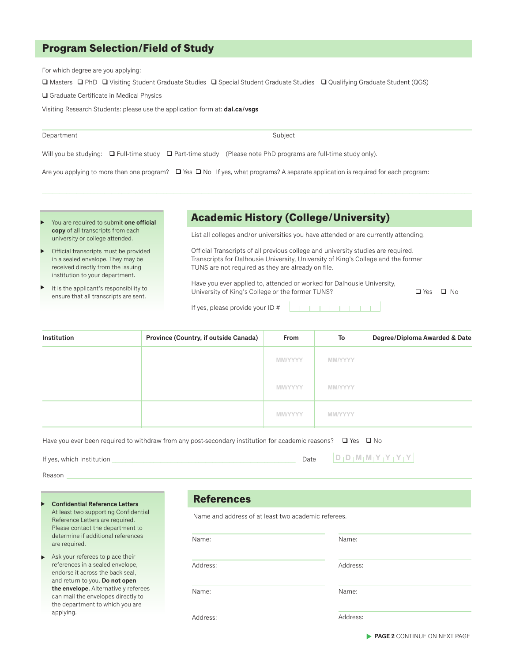## **Program Selection/Field of Study**

For which degree are you applying:

Masters PhD Visiting Student Graduate Studies Special Student Graduate Studies Qualifying Graduate Student (QGS)

Graduate Certificate in Medical Physics

Visiting Research Students: please use the application form at: **dal.ca/vsgs**

| Department | Subject |
|------------|---------|
|------------|---------|

Will you be studying:  $\Box$  Full-time study  $\Box$  Part-time study (Please note PhD programs are full-time study only).

Are you applying to more than one program?  $\Box$  Yes  $\Box$  No If yes, what programs? A separate application is required for each program:

- You are required to submit **one official copy** of all transcripts from each university or college attended. ▲
- Official transcripts must be provided in a sealed envelope. They may be received directly from the issuing institution to your department. ▲
- It is the applicant's responsibility to ensure that all transcripts are sent. ▲

#### **Academic History (College/University)**

List all colleges and/or universities you have attended or are currently attending.

Official Transcripts of all previous college and university studies are required. Transcripts for Dalhousie University, University of King's College and the former TUNS are not required as they are already on file.

Have you ever applied to, attended or worked for Dalhousie University, University of King's College or the former TUNS?  $\Box$  Yes  $\Box$  No

**TELEVISION** 

If yes, please provide your ID #

| <b>Institution</b> | <b>Province (Country, if outside Canada)</b> | <b>From</b>    | To             | Degree/Diploma Awarded & Date |
|--------------------|----------------------------------------------|----------------|----------------|-------------------------------|
|                    |                                              | <b>MM/YYYY</b> | <b>MM/YYYY</b> |                               |
|                    |                                              | <b>MM/YYYY</b> | <b>MM/YYYY</b> |                               |
|                    |                                              | <b>MM/YYYY</b> | <b>MM/YYYY</b> |                               |

Have you ever been required to withdraw from any post-secondary institution for academic reasons?  $\Box$  Yes  $\Box$  No

| If yes, which Institution | Date $ D D M M Y Y Y Y Y $ |  |
|---------------------------|----------------------------|--|
|                           |                            |  |

Reason

- **Confidential Reference Letters** At least two supporting Confidential Reference Letters are required. Please contact the department to determine if additional references are required. ▲
- Ask your referees to place their references in a sealed envelope, endorse it across the back seal, and return to you. **Do not open the envelope.** Alternatively referees can mail the envelopes directly to the department to which you are applying. ▲

# **References**

Name and address of at least two academic referees.

Name:

Address:

Name:

Address:

Address:

Name:

Name:

Address: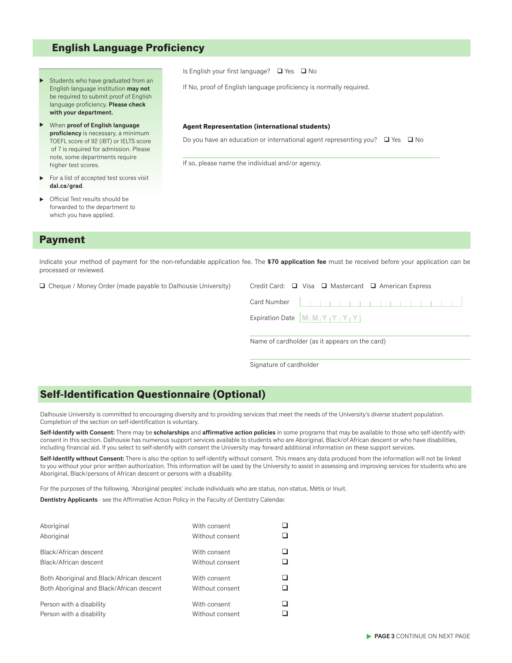## **English Language Proficiency**

- Students who have graduated from an English language institution **may not** be required to submit proof of English language proficiency. **Please check with your department.** ▲
- When **proof of English language proficiency** is necessary, a minimum TOEFL score of 92 (iBT) or IELTS score of 7 is required for admission. Please note, some departments require higher test scores. ▲
- For a list of accepted test scores visit **dal.ca/grad**. ▲
- Official Test results should be forwarded to the department to which you have applied. ▲

## **Payment**

Indicate your method of payment for the non-refundable application fee. The **\$70 application fee** must be received before your application can be processed or reviewed.

**Q** Cheque / Money Order (made payable to Dalhousie University) (

| de payable to Dalhousie University) | Credit Card: $\Box$ Visa $\Box$ Mastercard $\Box$ American Express |  |
|-------------------------------------|--------------------------------------------------------------------|--|
|                                     |                                                                    |  |
|                                     | Expiration Date $ M_1M_1Y_1Y_1Y_1Y $                               |  |
|                                     |                                                                    |  |

Name of cardholder (as it appears on the card)

Signature of cardholder

# **Self-Identification Questionnaire (Optional)**

Dalhousie University is committed to encouraging diversity and to providing services that meet the needs of the University's diverse student population. Completion of the section on self-identification is voluntary.

**Self-ldentify with Consent:** There may be **scholarships** and **affirmative action policies** in some programs that may be available to those who self-identify with consent in this section. Dalhousie has numerous support services available to students who are Aboriginal, Black/of African descent or who have disabilities, including financial aid. lf you select to self-identify with consent the University may forward additional information on these support services.

**Self-ldentlfy wlthout Consent:** There is also the option to self-identify without consent. This means any data produced from the information will not be linked to you without your prior written authorization. This information will be used by the University to assist in assessing and improving services for students who are Aboriginal, Black/persons of African descent or persons with a disability.

For the purposes of the following, 'Aboriginal peoples' include individuals who are status, non-status, Métis or lnuit.

**Dentistry Applicants** - see the Affirmative Action Policy in the Faculty of Dentistry Calendar.

| Aboriginal<br>Aboriginal                                                               | With consent<br>Without consent |  |
|----------------------------------------------------------------------------------------|---------------------------------|--|
| Black/African descent<br>Black/African descent                                         | With consent<br>Without consent |  |
| Both Aboriginal and Black/African descent<br>Both Aboriginal and Black/African descent | With consent<br>Without consent |  |
| Person with a disability<br>Person with a disability                                   | With consent<br>Without consent |  |

Is English your first language?  $\Box$  Yes  $\Box$  No

If No, proof of English language proficiency is normally required.

#### **Agent Representation (international students)**

Do you have an education or international agent representing you?  $\Box$  Yes  $\Box$  No

If so, please name the individual and/or agency.